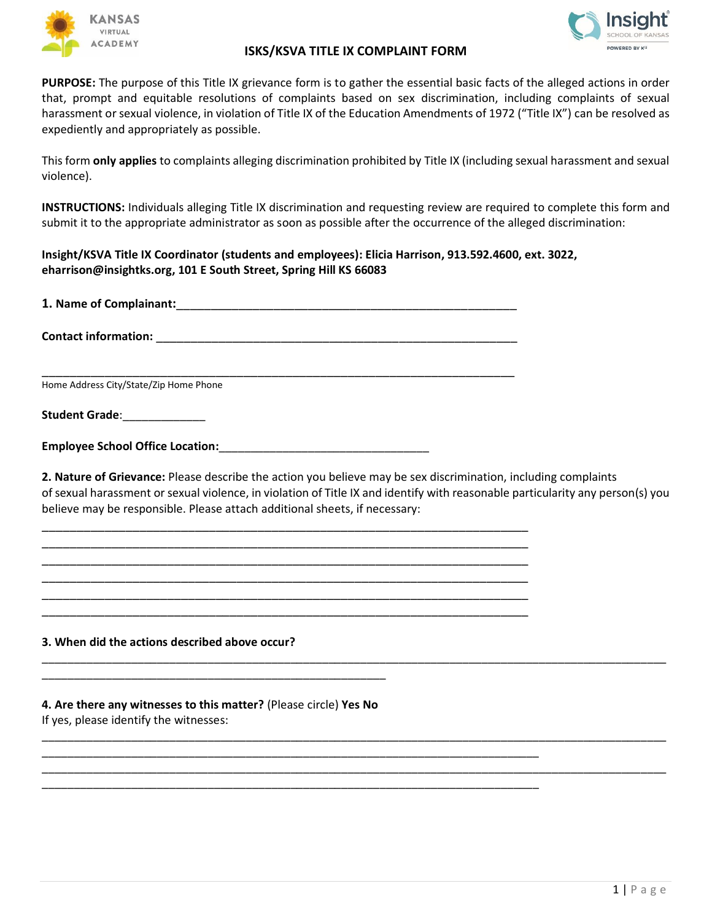



## **ISKS/KSVA TITLE IX COMPLAINT FORM**

**PURPOSE:** The purpose of this Title IX grievance form is to gather the essential basic facts of the alleged actions in order that, prompt and equitable resolutions of complaints based on sex discrimination, including complaints of sexual harassment or sexual violence, in violation of Title IX of the Education Amendments of 1972 ("Title IX") can be resolved as expediently and appropriately as possible.

This form **only applies** to complaints alleging discrimination prohibited by Title IX (including sexual harassment and sexual violence).

**INSTRUCTIONS:** Individuals alleging Title IX discrimination and requesting review are required to complete this form and submit it to the appropriate administrator as soon as possible after the occurrence of the alleged discrimination:

**Insight/KSVA Title IX Coordinator (students and employees): Elicia Harrison, 913.592.4600, ext. 3022, eharrison@insightks.org, 101 E South Street, Spring Hill KS 66083**

**1. Name of Complainant:**\_\_\_\_\_\_\_\_\_\_\_\_\_\_\_\_\_\_\_\_\_\_\_\_\_\_\_\_\_\_\_\_\_\_\_\_\_\_\_\_\_\_\_\_\_\_\_\_\_

\_\_\_\_\_\_\_\_\_\_\_\_\_\_\_\_\_\_\_\_\_\_\_\_\_\_\_\_\_\_\_\_\_\_\_\_\_\_\_\_\_\_\_\_\_\_\_\_\_\_\_\_\_\_\_\_\_\_\_\_\_\_\_\_\_\_\_\_

\_\_\_\_\_\_\_\_\_\_\_\_\_\_\_\_\_\_\_\_\_\_\_\_\_\_\_\_\_\_\_\_\_\_\_\_\_\_\_\_\_\_\_\_\_\_\_\_\_\_\_\_\_\_\_\_\_\_\_\_\_\_\_\_\_\_\_\_\_\_ \_\_\_\_\_\_\_\_\_\_\_\_\_\_\_\_\_\_\_\_\_\_\_\_\_\_\_\_\_\_\_\_\_\_\_\_\_\_\_\_\_\_\_\_\_\_\_\_\_\_\_\_\_\_\_\_\_\_\_\_\_\_\_\_\_\_\_\_\_\_ \_\_\_\_\_\_\_\_\_\_\_\_\_\_\_\_\_\_\_\_\_\_\_\_\_\_\_\_\_\_\_\_\_\_\_\_\_\_\_\_\_\_\_\_\_\_\_\_\_\_\_\_\_\_\_\_\_\_\_\_\_\_\_\_\_\_\_\_\_\_ \_\_\_\_\_\_\_\_\_\_\_\_\_\_\_\_\_\_\_\_\_\_\_\_\_\_\_\_\_\_\_\_\_\_\_\_\_\_\_\_\_\_\_\_\_\_\_\_\_\_\_\_\_\_\_\_\_\_\_\_\_\_\_\_\_\_\_\_\_\_ \_\_\_\_\_\_\_\_\_\_\_\_\_\_\_\_\_\_\_\_\_\_\_\_\_\_\_\_\_\_\_\_\_\_\_\_\_\_\_\_\_\_\_\_\_\_\_\_\_\_\_\_\_\_\_\_\_\_\_\_\_\_\_\_\_\_\_\_\_\_ \_\_\_\_\_\_\_\_\_\_\_\_\_\_\_\_\_\_\_\_\_\_\_\_\_\_\_\_\_\_\_\_\_\_\_\_\_\_\_\_\_\_\_\_\_\_\_\_\_\_\_\_\_\_\_\_\_\_\_\_\_\_\_\_\_\_\_\_\_\_

\_\_\_\_\_\_\_\_\_\_\_\_\_\_\_\_\_\_\_\_\_\_\_\_\_\_\_\_\_\_\_\_\_\_\_\_\_\_\_\_\_\_\_\_\_\_\_\_\_\_\_\_\_\_\_\_\_\_\_\_\_\_\_\_\_\_\_\_\_\_\_\_\_\_\_\_\_\_

\_\_\_\_\_\_\_\_\_\_\_\_\_\_\_\_\_\_\_\_\_\_\_\_\_\_\_\_\_\_\_\_\_\_\_\_\_\_\_\_\_\_\_\_\_\_\_\_\_\_\_\_\_\_\_\_\_\_\_\_\_\_\_\_\_\_\_\_\_\_\_\_\_\_\_\_\_\_

**Contact information:** <u>\_\_\_\_\_\_\_\_\_\_\_\_\_\_\_\_\_\_\_\_\_\_\_\_\_</u>

Home Address City/State/Zip Home Phone

**Student Grade**:\_\_\_\_\_\_\_\_\_\_\_\_\_

| <b>Employee School Office Location:</b> |  |
|-----------------------------------------|--|
|                                         |  |

**2. Nature of Grievance:** Please describe the action you believe may be sex discrimination, including complaints of sexual harassment or sexual violence, in violation of Title IX and identify with reasonable particularity any person(s) you believe may be responsible. Please attach additional sheets, if necessary:

\_\_\_\_\_\_\_\_\_\_\_\_\_\_\_\_\_\_\_\_\_\_\_\_\_\_\_\_\_\_\_\_\_\_\_\_\_\_\_\_\_\_\_\_\_\_\_\_\_\_\_\_\_\_\_\_\_\_\_\_\_\_\_\_\_\_\_\_\_\_\_\_\_\_\_\_\_\_\_\_\_\_\_\_\_\_\_\_\_\_\_\_\_\_\_\_\_\_

\_\_\_\_\_\_\_\_\_\_\_\_\_\_\_\_\_\_\_\_\_\_\_\_\_\_\_\_\_\_\_\_\_\_\_\_\_\_\_\_\_\_\_\_\_\_\_\_\_\_\_\_\_\_\_\_\_\_\_\_\_\_\_\_\_\_\_\_\_\_\_\_\_\_\_\_\_\_\_\_\_\_\_\_\_\_\_\_\_\_\_\_\_\_\_\_\_\_

\_\_\_\_\_\_\_\_\_\_\_\_\_\_\_\_\_\_\_\_\_\_\_\_\_\_\_\_\_\_\_\_\_\_\_\_\_\_\_\_\_\_\_\_\_\_\_\_\_\_\_\_\_\_\_\_\_\_\_\_\_\_\_\_\_\_\_\_\_\_\_\_\_\_\_\_\_\_\_\_\_\_\_\_\_\_\_\_\_\_\_\_\_\_\_\_\_\_

## **3. When did the actions described above occur?**

## **4. Are there any witnesses to this matter?** (Please circle) **Yes No**

\_\_\_\_\_\_\_\_\_\_\_\_\_\_\_\_\_\_\_\_\_\_\_\_\_\_\_\_\_\_\_\_\_\_\_\_\_\_\_\_\_\_\_\_\_\_\_\_\_\_\_\_\_\_

If yes, please identify the witnesses: